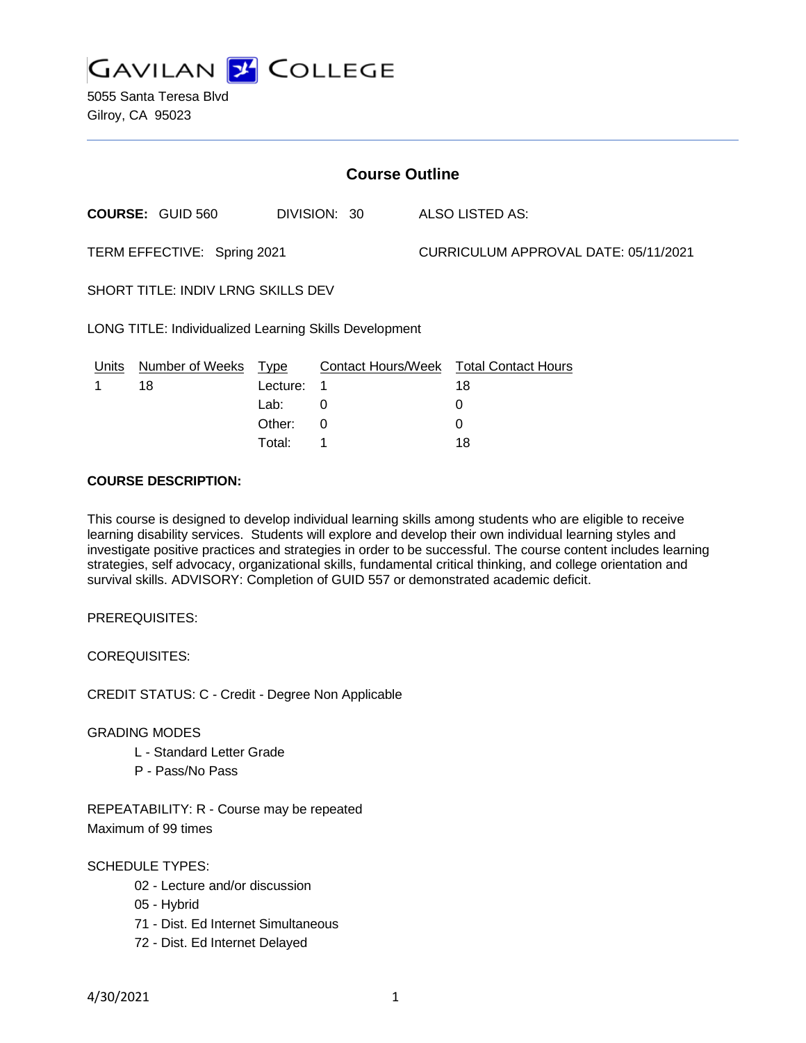

5055 Santa Teresa Blvd Gilroy, CA 95023

| <b>Course Outline</b>                                         |                         |          |              |                                      |                                        |
|---------------------------------------------------------------|-------------------------|----------|--------------|--------------------------------------|----------------------------------------|
|                                                               | <b>COURSE: GUID 560</b> |          | DIVISION: 30 |                                      | ALSO LISTED AS:                        |
| TERM EFFECTIVE: Spring 2021                                   |                         |          |              | CURRICULUM APPROVAL DATE: 05/11/2021 |                                        |
| SHORT TITLE: INDIV LRNG SKILLS DEV                            |                         |          |              |                                      |                                        |
| <b>LONG TITLE: Individualized Learning Skills Development</b> |                         |          |              |                                      |                                        |
| Units                                                         | Number of Weeks Type    |          |              |                                      | Contact Hours/Week Total Contact Hours |
|                                                               | 18                      | Lecture: | 1            |                                      | 18                                     |
|                                                               |                         | Lab:     | 0            |                                      | 0                                      |
|                                                               |                         | Other:   | $\Omega$     |                                      | 0                                      |

Total: 1 18

## **COURSE DESCRIPTION:**

This course is designed to develop individual learning skills among students who are eligible to receive learning disability services. Students will explore and develop their own individual learning styles and investigate positive practices and strategies in order to be successful. The course content includes learning strategies, self advocacy, organizational skills, fundamental critical thinking, and college orientation and survival skills. ADVISORY: Completion of GUID 557 or demonstrated academic deficit.

PREREQUISITES:

COREQUISITES:

CREDIT STATUS: C - Credit - Degree Non Applicable

#### GRADING MODES

- L Standard Letter Grade
- P Pass/No Pass

REPEATABILITY: R - Course may be repeated Maximum of 99 times

SCHEDULE TYPES:

- 02 Lecture and/or discussion
- 05 Hybrid
- 71 Dist. Ed Internet Simultaneous
- 72 Dist. Ed Internet Delayed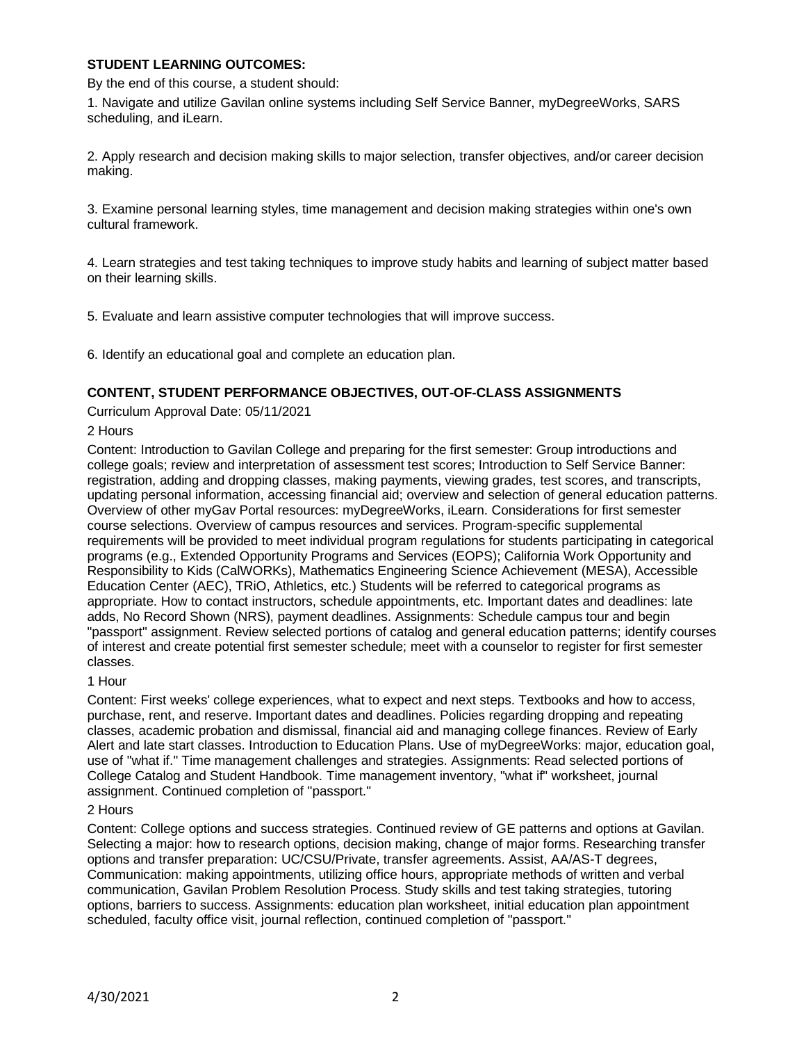# **STUDENT LEARNING OUTCOMES:**

By the end of this course, a student should:

1. Navigate and utilize Gavilan online systems including Self Service Banner, myDegreeWorks, SARS scheduling, and iLearn.

2. Apply research and decision making skills to major selection, transfer objectives, and/or career decision making.

3. Examine personal learning styles, time management and decision making strategies within one's own cultural framework.

4. Learn strategies and test taking techniques to improve study habits and learning of subject matter based on their learning skills.

5. Evaluate and learn assistive computer technologies that will improve success.

6. Identify an educational goal and complete an education plan.

# **CONTENT, STUDENT PERFORMANCE OBJECTIVES, OUT-OF-CLASS ASSIGNMENTS**

Curriculum Approval Date: 05/11/2021

## 2 Hours

Content: Introduction to Gavilan College and preparing for the first semester: Group introductions and college goals; review and interpretation of assessment test scores; Introduction to Self Service Banner: registration, adding and dropping classes, making payments, viewing grades, test scores, and transcripts, updating personal information, accessing financial aid; overview and selection of general education patterns. Overview of other myGav Portal resources: myDegreeWorks, iLearn. Considerations for first semester course selections. Overview of campus resources and services. Program-specific supplemental requirements will be provided to meet individual program regulations for students participating in categorical programs (e.g., Extended Opportunity Programs and Services (EOPS); California Work Opportunity and Responsibility to Kids (CalWORKs), Mathematics Engineering Science Achievement (MESA), Accessible Education Center (AEC), TRiO, Athletics, etc.) Students will be referred to categorical programs as appropriate. How to contact instructors, schedule appointments, etc. Important dates and deadlines: late adds, No Record Shown (NRS), payment deadlines. Assignments: Schedule campus tour and begin "passport" assignment. Review selected portions of catalog and general education patterns; identify courses of interest and create potential first semester schedule; meet with a counselor to register for first semester classes.

1 Hour

Content: First weeks' college experiences, what to expect and next steps. Textbooks and how to access, purchase, rent, and reserve. Important dates and deadlines. Policies regarding dropping and repeating classes, academic probation and dismissal, financial aid and managing college finances. Review of Early Alert and late start classes. Introduction to Education Plans. Use of myDegreeWorks: major, education goal, use of "what if." Time management challenges and strategies. Assignments: Read selected portions of College Catalog and Student Handbook. Time management inventory, "what if" worksheet, journal assignment. Continued completion of "passport."

#### 2 Hours

Content: College options and success strategies. Continued review of GE patterns and options at Gavilan. Selecting a major: how to research options, decision making, change of major forms. Researching transfer options and transfer preparation: UC/CSU/Private, transfer agreements. Assist, AA/AS-T degrees, Communication: making appointments, utilizing office hours, appropriate methods of written and verbal communication, Gavilan Problem Resolution Process. Study skills and test taking strategies, tutoring options, barriers to success. Assignments: education plan worksheet, initial education plan appointment scheduled, faculty office visit, journal reflection, continued completion of "passport."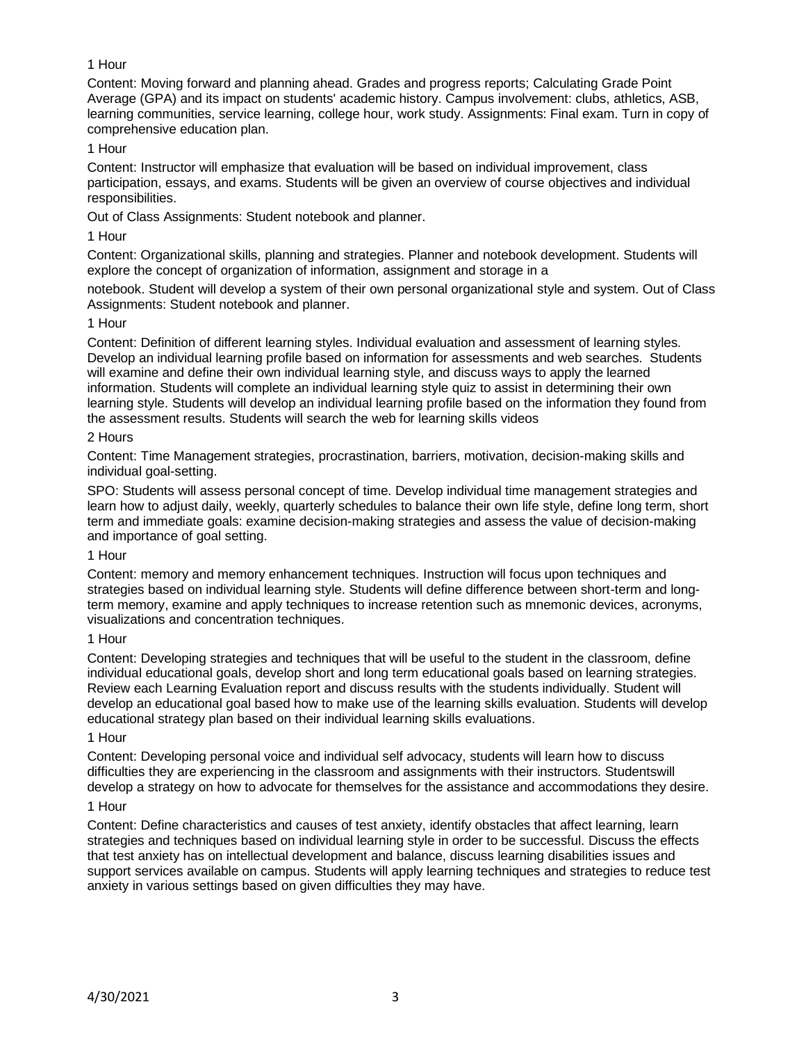# 1 Hour

Content: Moving forward and planning ahead. Grades and progress reports; Calculating Grade Point Average (GPA) and its impact on students' academic history. Campus involvement: clubs, athletics, ASB, learning communities, service learning, college hour, work study. Assignments: Final exam. Turn in copy of comprehensive education plan.

# 1 Hour

Content: Instructor will emphasize that evaluation will be based on individual improvement, class participation, essays, and exams. Students will be given an overview of course objectives and individual responsibilities.

Out of Class Assignments: Student notebook and planner.

## 1 Hour

Content: Organizational skills, planning and strategies. Planner and notebook development. Students will explore the concept of organization of information, assignment and storage in a

notebook. Student will develop a system of their own personal organizational style and system. Out of Class Assignments: Student notebook and planner.

## 1 Hour

Content: Definition of different learning styles. Individual evaluation and assessment of learning styles. Develop an individual learning profile based on information for assessments and web searches. Students will examine and define their own individual learning style, and discuss ways to apply the learned information. Students will complete an individual learning style quiz to assist in determining their own learning style. Students will develop an individual learning profile based on the information they found from the assessment results. Students will search the web for learning skills videos

## 2 Hours

Content: Time Management strategies, procrastination, barriers, motivation, decision-making skills and individual goal-setting.

SPO: Students will assess personal concept of time. Develop individual time management strategies and learn how to adjust daily, weekly, quarterly schedules to balance their own life style, define long term, short term and immediate goals: examine decision-making strategies and assess the value of decision-making and importance of goal setting.

#### 1 Hour

Content: memory and memory enhancement techniques. Instruction will focus upon techniques and strategies based on individual learning style. Students will define difference between short-term and longterm memory, examine and apply techniques to increase retention such as mnemonic devices, acronyms, visualizations and concentration techniques.

#### 1 Hour

Content: Developing strategies and techniques that will be useful to the student in the classroom, define individual educational goals, develop short and long term educational goals based on learning strategies. Review each Learning Evaluation report and discuss results with the students individually. Student will develop an educational goal based how to make use of the learning skills evaluation. Students will develop educational strategy plan based on their individual learning skills evaluations.

#### 1 Hour

Content: Developing personal voice and individual self advocacy, students will learn how to discuss difficulties they are experiencing in the classroom and assignments with their instructors. Studentswill develop a strategy on how to advocate for themselves for the assistance and accommodations they desire.

## 1 Hour

Content: Define characteristics and causes of test anxiety, identify obstacles that affect learning, learn strategies and techniques based on individual learning style in order to be successful. Discuss the effects that test anxiety has on intellectual development and balance, discuss learning disabilities issues and support services available on campus. Students will apply learning techniques and strategies to reduce test anxiety in various settings based on given difficulties they may have.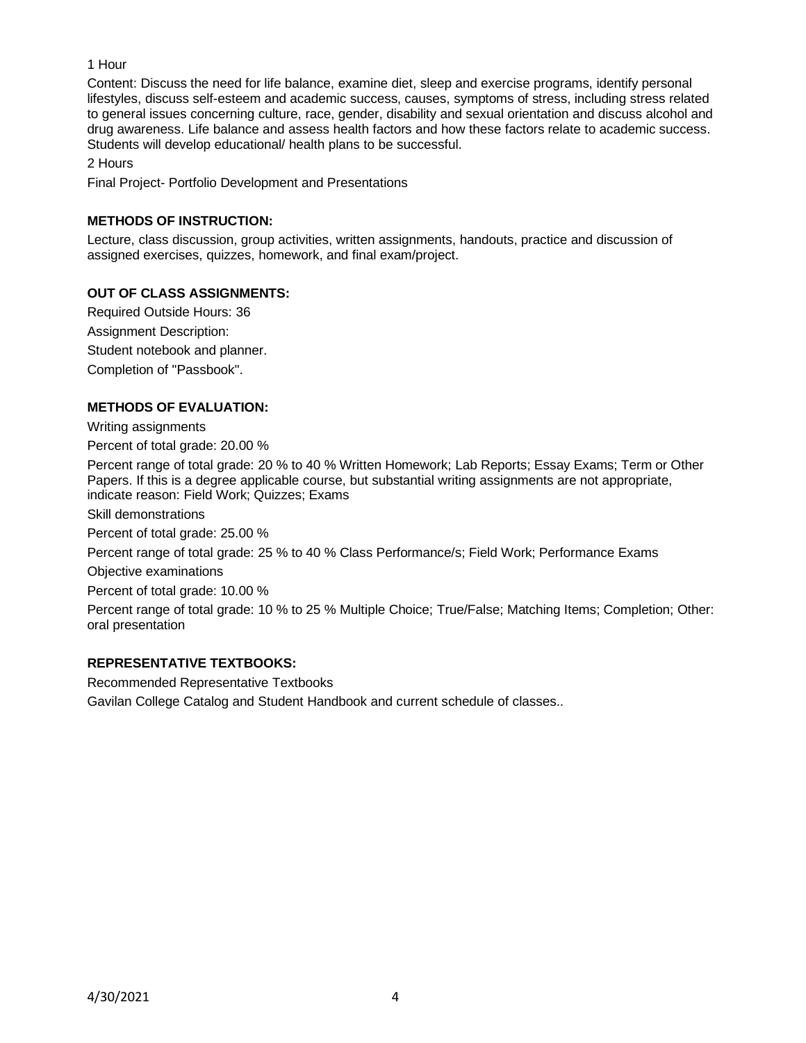# 1 Hour

Content: Discuss the need for life balance, examine diet, sleep and exercise programs, identify personal lifestyles, discuss self-esteem and academic success, causes, symptoms of stress, including stress related to general issues concerning culture, race, gender, disability and sexual orientation and discuss alcohol and drug awareness. Life balance and assess health factors and how these factors relate to academic success. Students will develop educational/ health plans to be successful.

2 Hours

Final Project- Portfolio Development and Presentations

# **METHODS OF INSTRUCTION:**

Lecture, class discussion, group activities, written assignments, handouts, practice and discussion of assigned exercises, quizzes, homework, and final exam/project.

# **OUT OF CLASS ASSIGNMENTS:**

Required Outside Hours: 36 Assignment Description: Student notebook and planner. Completion of "Passbook".

# **METHODS OF EVALUATION:**

Writing assignments

Percent of total grade: 20.00 %

Percent range of total grade: 20 % to 40 % Written Homework; Lab Reports; Essay Exams; Term or Other Papers. If this is a degree applicable course, but substantial writing assignments are not appropriate, indicate reason: Field Work; Quizzes; Exams

Skill demonstrations

Percent of total grade: 25.00 %

Percent range of total grade: 25 % to 40 % Class Performance/s; Field Work; Performance Exams

Objective examinations

Percent of total grade: 10.00 %

Percent range of total grade: 10 % to 25 % Multiple Choice; True/False; Matching Items; Completion; Other: oral presentation

# **REPRESENTATIVE TEXTBOOKS:**

Recommended Representative Textbooks Gavilan College Catalog and Student Handbook and current schedule of classes..